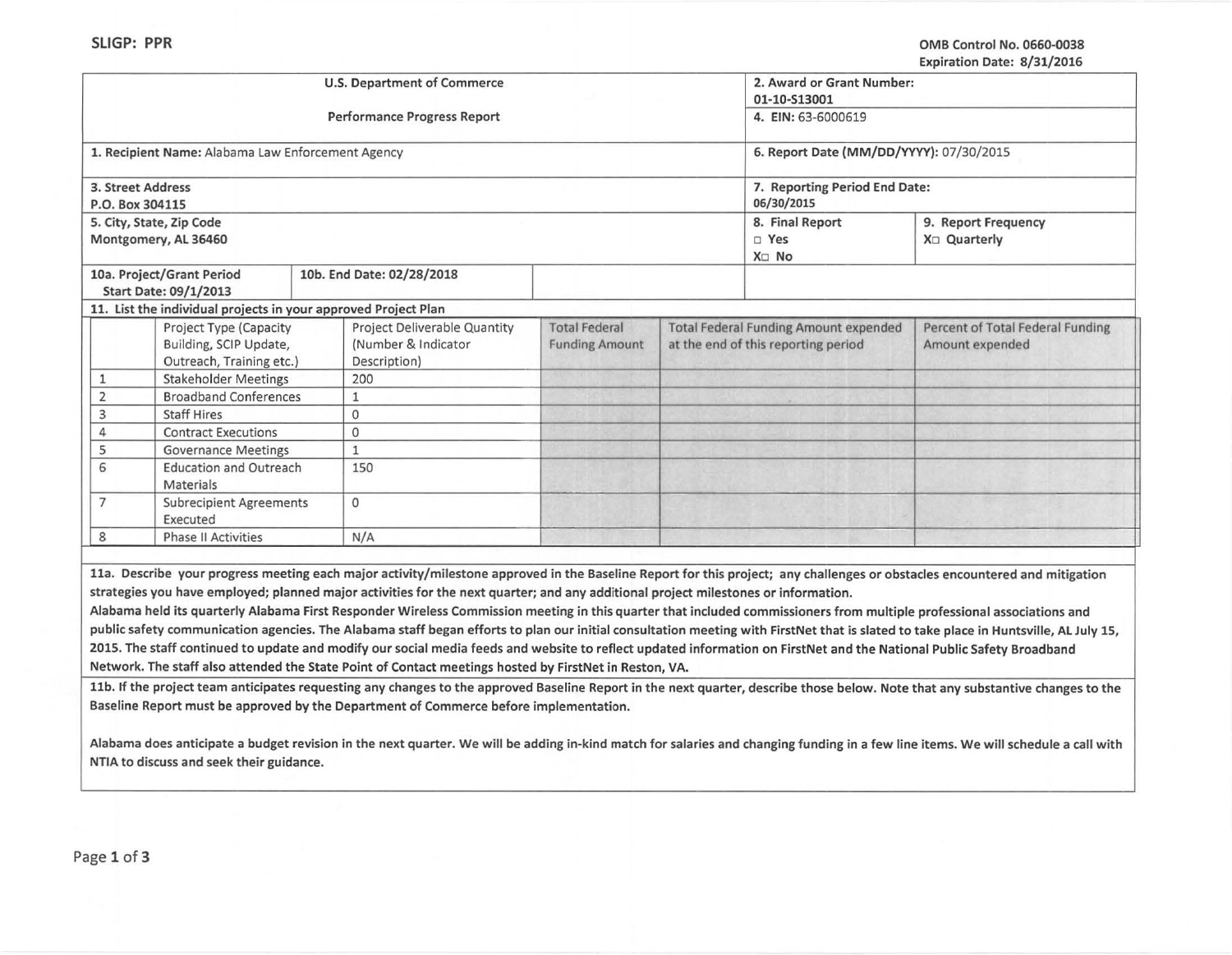|                                                                                     | <b>U.S. Department of Commerce</b>                                                                                                                                                                                                                                                                                                                                                                                                                                                         | 2. Award or Grant Number:<br>01-10-S13001<br>4. EIN: 63-6000619 |                                                                                     |                                                                                                   |                                                     |  |  |  |
|-------------------------------------------------------------------------------------|--------------------------------------------------------------------------------------------------------------------------------------------------------------------------------------------------------------------------------------------------------------------------------------------------------------------------------------------------------------------------------------------------------------------------------------------------------------------------------------------|-----------------------------------------------------------------|-------------------------------------------------------------------------------------|---------------------------------------------------------------------------------------------------|-----------------------------------------------------|--|--|--|
|                                                                                     | Performance Progress Report                                                                                                                                                                                                                                                                                                                                                                                                                                                                |                                                                 |                                                                                     |                                                                                                   |                                                     |  |  |  |
| 1. Recipient Name: Alabama Law Enforcement Agency                                   |                                                                                                                                                                                                                                                                                                                                                                                                                                                                                            | 6. Report Date (MM/DD/YYYY): 07/30/2015                         |                                                                                     |                                                                                                   |                                                     |  |  |  |
| 3. Street Address<br>P.O. Box 304115                                                |                                                                                                                                                                                                                                                                                                                                                                                                                                                                                            |                                                                 |                                                                                     | 7. Reporting Period End Date:<br>06/30/2015                                                       |                                                     |  |  |  |
| 5. City, State, Zip Code<br>Montgomery, AL 36460                                    |                                                                                                                                                                                                                                                                                                                                                                                                                                                                                            |                                                                 |                                                                                     | 8. Final Report<br>9. Report Frequency<br>□ Yes<br>X <sub>□</sub> Quarterly<br>X <sub>II</sub> No |                                                     |  |  |  |
| 10a. Project/Grant Period<br>Start Date: 09/1/2013                                  | 10b. End Date: 02/28/2018                                                                                                                                                                                                                                                                                                                                                                                                                                                                  |                                                                 |                                                                                     |                                                                                                   |                                                     |  |  |  |
| 11. List the individual projects in your approved Project Plan                      |                                                                                                                                                                                                                                                                                                                                                                                                                                                                                            |                                                                 |                                                                                     |                                                                                                   |                                                     |  |  |  |
| <b>Project Type (Capacity</b><br>Building, SCIP Update,<br>Outreach, Training etc.) | <b>Project Deliverable Quantity</b><br>(Number & Indicator<br>Description)                                                                                                                                                                                                                                                                                                                                                                                                                 | <b>Total Federal</b><br><b>Funding Amount</b>                   | <b>Total Federal Funding Amount expended</b><br>at the end of this reporting period |                                                                                                   | Percent of Total Federal Funding<br>Amount expended |  |  |  |
| <b>Stakeholder Meetings</b><br>1                                                    | 200                                                                                                                                                                                                                                                                                                                                                                                                                                                                                        |                                                                 |                                                                                     |                                                                                                   |                                                     |  |  |  |
| $\overline{2}$<br><b>Broadband Conferences</b>                                      | $\mathbf{1}$                                                                                                                                                                                                                                                                                                                                                                                                                                                                               |                                                                 |                                                                                     |                                                                                                   |                                                     |  |  |  |
| <b>Staff Hires</b><br>3                                                             | 0                                                                                                                                                                                                                                                                                                                                                                                                                                                                                          |                                                                 |                                                                                     |                                                                                                   |                                                     |  |  |  |
| <b>Contract Executions</b><br>4                                                     | $\Omega$                                                                                                                                                                                                                                                                                                                                                                                                                                                                                   |                                                                 |                                                                                     |                                                                                                   |                                                     |  |  |  |
| 5<br><b>Governance Meetings</b>                                                     | 1                                                                                                                                                                                                                                                                                                                                                                                                                                                                                          |                                                                 |                                                                                     |                                                                                                   |                                                     |  |  |  |
| 6<br><b>Education and Outreach</b><br>Materials                                     | 150                                                                                                                                                                                                                                                                                                                                                                                                                                                                                        |                                                                 |                                                                                     |                                                                                                   |                                                     |  |  |  |
| 7<br><b>Subrecipient Agreements</b><br>Executed                                     | 0                                                                                                                                                                                                                                                                                                                                                                                                                                                                                          |                                                                 |                                                                                     |                                                                                                   |                                                     |  |  |  |
| 8<br><b>Phase II Activities</b>                                                     | N/A                                                                                                                                                                                                                                                                                                                                                                                                                                                                                        |                                                                 |                                                                                     |                                                                                                   |                                                     |  |  |  |
|                                                                                     | 11a. Describe your progress meeting each major activity/milestone approved in the Baseline Report for this project; any challenges or obstacles encountered and mitigation<br>strategies you have employed; planned major activities for the next quarter; and any additional project milestones or information.<br>Alabama held its quarterly Alabama First Responder Wireless Commission meeting in this quarter that included commissioners from multiple professional associations and |                                                                 |                                                                                     |                                                                                                   |                                                     |  |  |  |

public safety communication agencies. The Alabama staff began efforts to plan our initial consultation meeting with FirstNet that is slated to take place in Huntsville, Al July 15, 2015. The staff continued to update and modify our social media feeds and website to reflect updated information on FirstNet and the National Public Safety Broadband Network. The staff also attended the State Point of Contact meetings hosted by FirstNet in Reston, VA.

11b. If the project team anticipates requesting any changes to the approved Baseline Report in the next quarter, describe those below. Note that any substantive changes to the Baseline Report must be approved by the Department of Commerce before implementation.

Alabama does anticipate a budget revision in the next quarter. We will be adding in-kind match for salaries and changing funding in a few line items. We will schedule a call with NTIA to discuss and seek their guidance.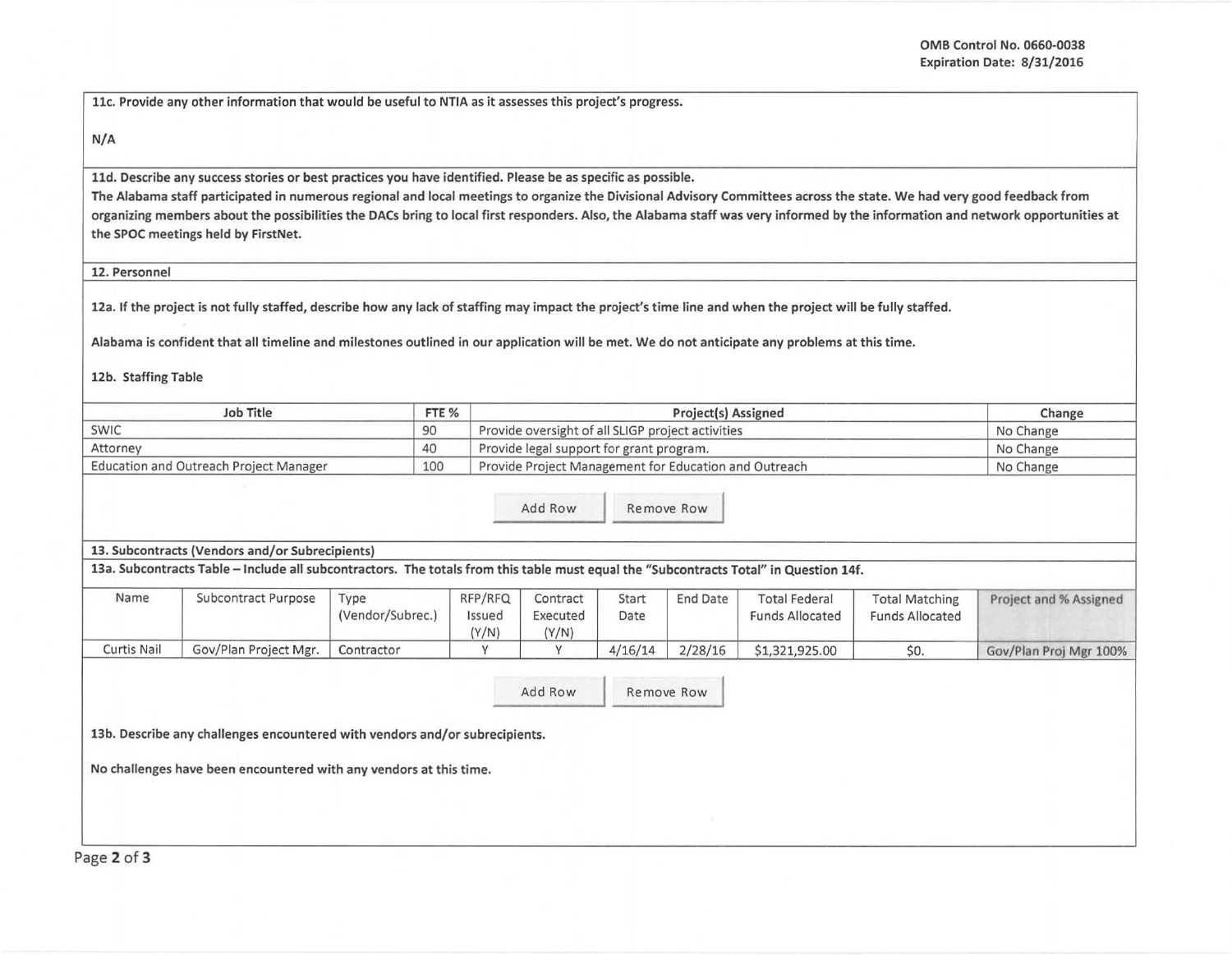----- ---------

11c. Provide any other information that would be useful to NTIA as it assesses this project's progress.

## N/A

11d. Describe any success stories or best practices you have identified. Please be as specific as possible.

The Alabama staff participated in numerous regional and local meetings to organize the Divisional Advisory Committees across the state. We had very good feedback from organizing members about the possibilities the DACs bring to local first responders. Also, the Alabama staff was very informed by the information and network opportunities at the SPOC meetings held by FirstNet.

## 12. Personnel

12a. If the project is not fully staffed, describe how any lack of staffing may impact the project's time line and when the project will be fully staffed.

Alabama is confident that all timeline and milestones outlined in our application will be met. We do not anticipate any problems at this time.

12b. Staffing Table

| Job Title                                     | FTE % | Project(s) Assigned                                   | Change    |
|-----------------------------------------------|-------|-------------------------------------------------------|-----------|
| SWIC                                          | 90    | Provide oversight of all SLIGP project activities     | No Change |
| Attorney                                      | 40    | Provide legal support for grant program.              | No Change |
| <b>Education and Outreach Project Manager</b> | 100   | Provide Project Management for Education and Outreach | No Change |

Add Row Remove Row

## 13. Subcontracts (Vendors and/or Subrecipients)

13a. Subcontracts Table -Include all subcontractors. The totals from this table must equal the "Subcontracts Total" in Question 14f.

| Name        | Subcontract Purpose   | Type<br>(Vendor/Subrec.) | RFP/RFQ<br>Issued<br>(Y/N) | Contract<br>Executed<br>(Y/N) | Start<br>Date | <b>End Date</b> | <b>Total Federal</b><br><b>Funds Allocated</b> | <b>Total Matching</b><br><b>Funds Allocated</b> | Project and % Assigned |
|-------------|-----------------------|--------------------------|----------------------------|-------------------------------|---------------|-----------------|------------------------------------------------|-------------------------------------------------|------------------------|
| Curtis Nail | Gov/Plan Project Mgr. | Contractor               |                            |                               | 4/16/14       | 2/28/16         | \$1,321,925.00                                 | \$0.                                            | Gov/Plan Proj Mgr 100% |

Add Row Remove Row

13b. Describe any challenges encountered with vendors and/or subrecipients.

No challenges have been encountered with any vendors at this time.